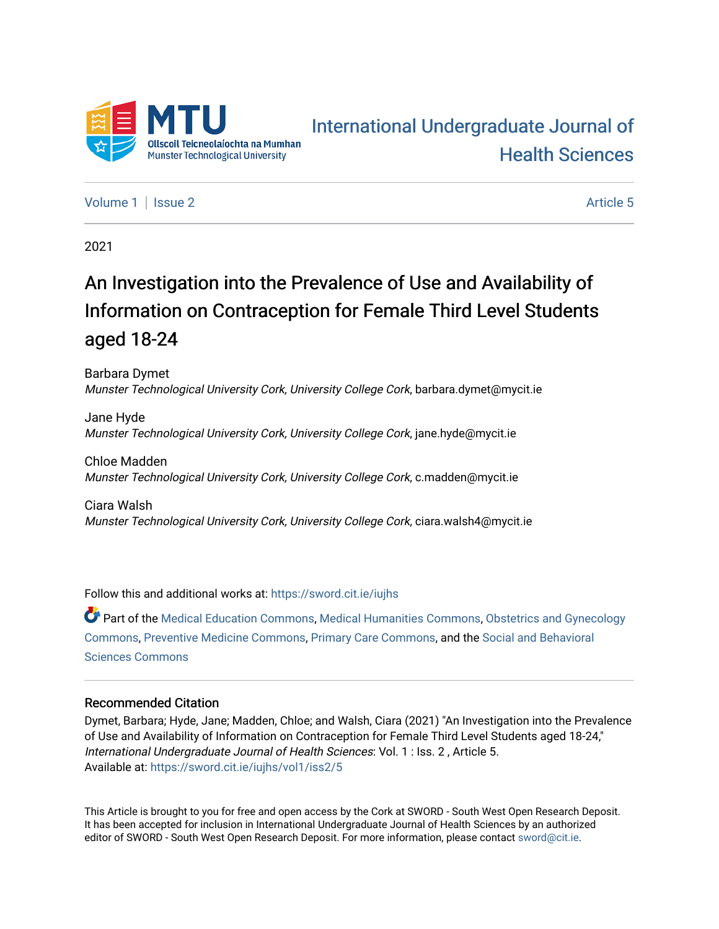

# [International Undergraduate Journal of](https://sword.cit.ie/iujhs)  [Health Sciences](https://sword.cit.ie/iujhs)

[Volume 1](https://sword.cit.ie/iujhs/vol1) | [Issue 2](https://sword.cit.ie/iujhs/vol1/iss2) Article 5

2021

# An Investigation into the Prevalence of Use and Availability of Information on Contraception for Female Third Level Students aged 18-24

Barbara Dymet Munster Technological University Cork, University College Cork, barbara.dymet@mycit.ie

Jane Hyde Munster Technological University Cork, University College Cork, jane.hyde@mycit.ie

Chloe Madden Munster Technological University Cork, University College Cork, c.madden@mycit.ie

Ciara Walsh Munster Technological University Cork, University College Cork, ciara.walsh4@mycit.ie

Follow this and additional works at: [https://sword.cit.ie/iujhs](https://sword.cit.ie/iujhs?utm_source=sword.cit.ie%2Fiujhs%2Fvol1%2Fiss2%2F5&utm_medium=PDF&utm_campaign=PDFCoverPages) 

Part of the [Medical Education Commons,](http://network.bepress.com/hgg/discipline/1125?utm_source=sword.cit.ie%2Fiujhs%2Fvol1%2Fiss2%2F5&utm_medium=PDF&utm_campaign=PDFCoverPages) [Medical Humanities Commons](http://network.bepress.com/hgg/discipline/1303?utm_source=sword.cit.ie%2Fiujhs%2Fvol1%2Fiss2%2F5&utm_medium=PDF&utm_campaign=PDFCoverPages), [Obstetrics and Gynecology](http://network.bepress.com/hgg/discipline/693?utm_source=sword.cit.ie%2Fiujhs%2Fvol1%2Fiss2%2F5&utm_medium=PDF&utm_campaign=PDFCoverPages)  [Commons](http://network.bepress.com/hgg/discipline/693?utm_source=sword.cit.ie%2Fiujhs%2Fvol1%2Fiss2%2F5&utm_medium=PDF&utm_campaign=PDFCoverPages), [Preventive Medicine Commons](http://network.bepress.com/hgg/discipline/703?utm_source=sword.cit.ie%2Fiujhs%2Fvol1%2Fiss2%2F5&utm_medium=PDF&utm_campaign=PDFCoverPages), [Primary Care Commons,](http://network.bepress.com/hgg/discipline/1092?utm_source=sword.cit.ie%2Fiujhs%2Fvol1%2Fiss2%2F5&utm_medium=PDF&utm_campaign=PDFCoverPages) and the [Social and Behavioral](http://network.bepress.com/hgg/discipline/316?utm_source=sword.cit.ie%2Fiujhs%2Fvol1%2Fiss2%2F5&utm_medium=PDF&utm_campaign=PDFCoverPages) [Sciences Commons](http://network.bepress.com/hgg/discipline/316?utm_source=sword.cit.ie%2Fiujhs%2Fvol1%2Fiss2%2F5&utm_medium=PDF&utm_campaign=PDFCoverPages) 

### Recommended Citation

Dymet, Barbara; Hyde, Jane; Madden, Chloe; and Walsh, Ciara (2021) "An Investigation into the Prevalence of Use and Availability of Information on Contraception for Female Third Level Students aged 18-24," International Undergraduate Journal of Health Sciences: Vol. 1 : Iss. 2 , Article 5. Available at: [https://sword.cit.ie/iujhs/vol1/iss2/5](https://sword.cit.ie/iujhs/vol1/iss2/5?utm_source=sword.cit.ie%2Fiujhs%2Fvol1%2Fiss2%2F5&utm_medium=PDF&utm_campaign=PDFCoverPages) 

This Article is brought to you for free and open access by the Cork at SWORD - South West Open Research Deposit. It has been accepted for inclusion in International Undergraduate Journal of Health Sciences by an authorized editor of SWORD - South West Open Research Deposit. For more information, please contact [sword@cit.ie](mailto:sword@cit.ie).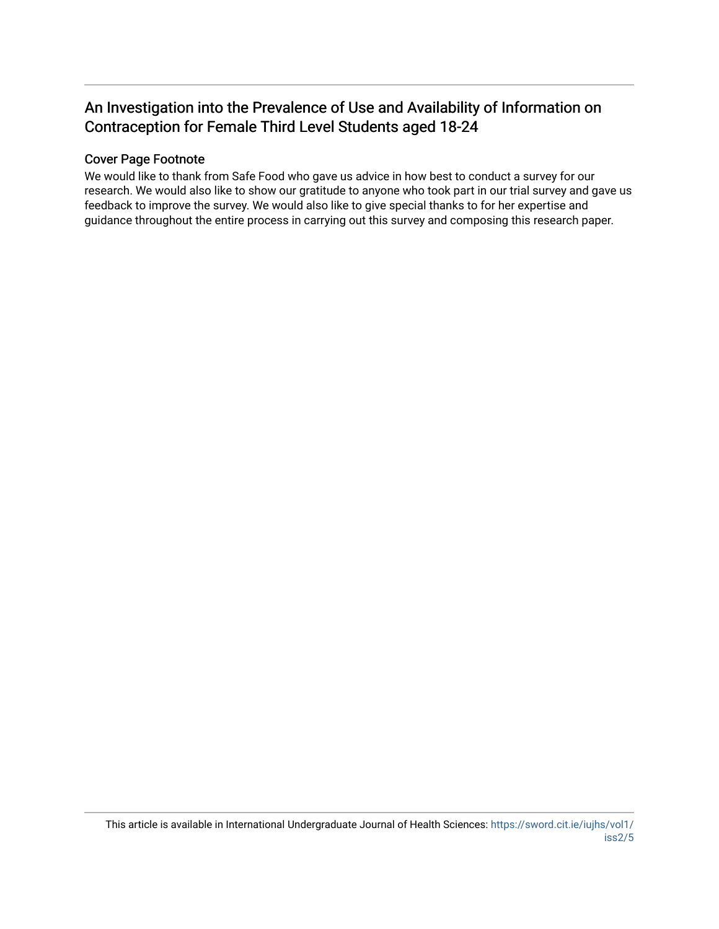# An Investigation into the Prevalence of Use and Availability of Information on Contraception for Female Third Level Students aged 18-24

# Cover Page Footnote

We would like to thank from Safe Food who gave us advice in how best to conduct a survey for our research. We would also like to show our gratitude to anyone who took part in our trial survey and gave us feedback to improve the survey. We would also like to give special thanks to for her expertise and guidance throughout the entire process in carrying out this survey and composing this research paper.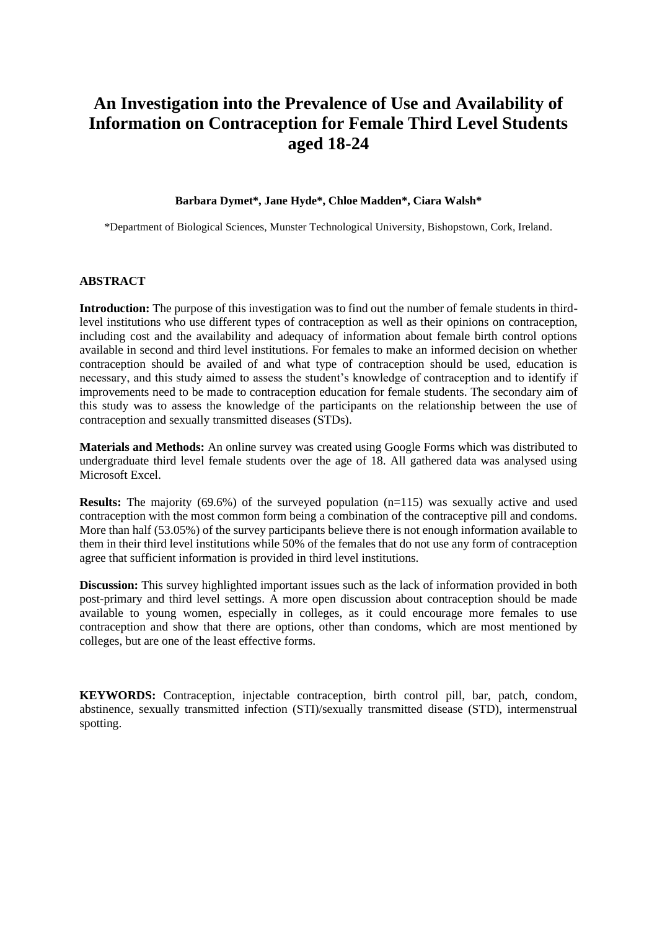# **An Investigation into the Prevalence of Use and Availability of Information on Contraception for Female Third Level Students aged 18-24**

#### **Barbara Dymet\*, Jane Hyde\*, Chloe Madden\*, Ciara Walsh\***

\*Department of Biological Sciences, Munster Technological University, Bishopstown, Cork, Ireland.

#### **ABSTRACT**

**Introduction:** The purpose of this investigation was to find out the number of female students in thirdlevel institutions who use different types of contraception as well as their opinions on contraception, including cost and the availability and adequacy of information about female birth control options available in second and third level institutions. For females to make an informed decision on whether contraception should be availed of and what type of contraception should be used, education is necessary, and this study aimed to assess the student's knowledge of contraception and to identify if improvements need to be made to contraception education for female students. The secondary aim of this study was to assess the knowledge of the participants on the relationship between the use of contraception and sexually transmitted diseases (STDs).

**Materials and Methods:** An online survey was created using Google Forms which was distributed to undergraduate third level female students over the age of 18. All gathered data was analysed using Microsoft Excel.

**Results:** The majority (69.6%) of the surveyed population (n=115) was sexually active and used contraception with the most common form being a combination of the contraceptive pill and condoms. More than half (53.05%) of the survey participants believe there is not enough information available to them in their third level institutions while 50% of the females that do not use any form of contraception agree that sufficient information is provided in third level institutions.

**Discussion:** This survey highlighted important issues such as the lack of information provided in both post-primary and third level settings. A more open discussion about contraception should be made available to young women, especially in colleges, as it could encourage more females to use contraception and show that there are options, other than condoms, which are most mentioned by colleges, but are one of the least effective forms.

**KEYWORDS:** Contraception, injectable contraception, birth control pill, bar, patch, condom, abstinence, sexually transmitted infection (STI)/sexually transmitted disease (STD), intermenstrual spotting.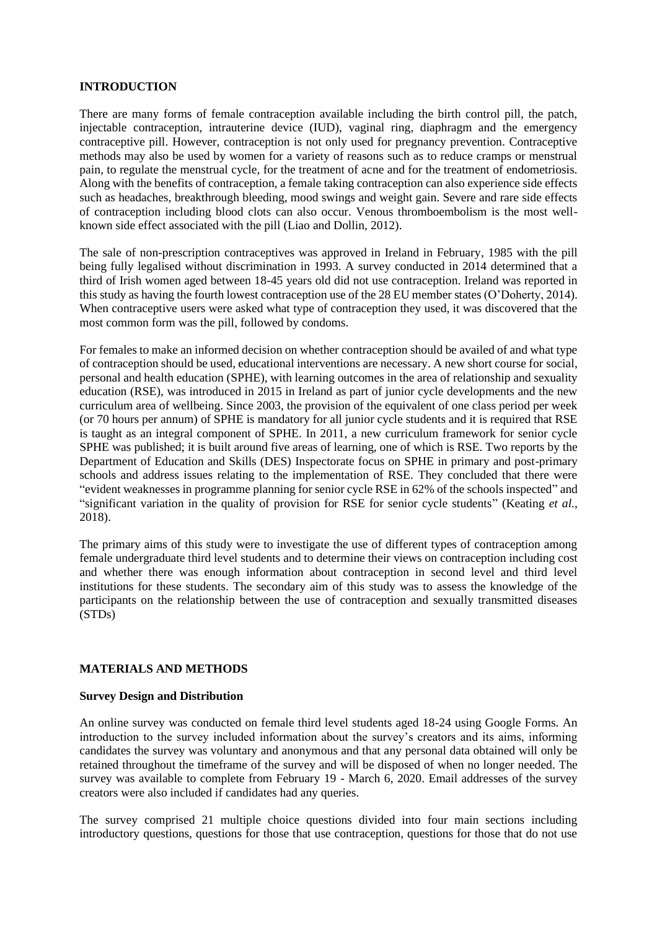#### **INTRODUCTION**

There are many forms of female contraception available including the birth control pill, the patch, injectable contraception, intrauterine device (IUD), vaginal ring, diaphragm and the emergency contraceptive pill. However, contraception is not only used for pregnancy prevention. Contraceptive methods may also be used by women for a variety of reasons such as to reduce cramps or menstrual pain, to regulate the menstrual cycle, for the treatment of acne and for the treatment of endometriosis. Along with the benefits of contraception, a female taking contraception can also experience side effects such as headaches, breakthrough bleeding, mood swings and weight gain. Severe and rare side effects of contraception including blood clots can also occur. Venous thromboembolism is the most wellknown side effect associated with the pill (Liao and Dollin, 2012).

The sale of non-prescription contraceptives was approved in Ireland in February, 1985 with the pill being fully legalised without discrimination in 1993. A survey conducted in 2014 determined that a third of Irish women aged between 18-45 years old did not use contraception. Ireland was reported in this study as having the fourth lowest contraception use of the 28 EU member states (O'Doherty, 2014). When contraceptive users were asked what type of contraception they used, it was discovered that the most common form was the pill, followed by condoms.

For females to make an informed decision on whether contraception should be availed of and what type of contraception should be used, educational interventions are necessary. A new short course for social, personal and health education (SPHE), with learning outcomes in the area of relationship and sexuality education (RSE), was introduced in 2015 in Ireland as part of junior cycle developments and the new curriculum area of wellbeing. Since 2003, the provision of the equivalent of one class period per week (or 70 hours per annum) of SPHE is mandatory for all junior cycle students and it is required that RSE is taught as an integral component of SPHE. In 2011, a new curriculum framework for senior cycle SPHE was published; it is built around five areas of learning, one of which is RSE. Two reports by the Department of Education and Skills (DES) Inspectorate focus on SPHE in primary and post-primary schools and address issues relating to the implementation of RSE. They concluded that there were "evident weaknesses in programme planning for senior cycle RSE in 62% of the schools inspected" and "significant variation in the quality of provision for RSE for senior cycle students" (Keating *et al.,* 2018).

The primary aims of this study were to investigate the use of different types of contraception among female undergraduate third level students and to determine their views on contraception including cost and whether there was enough information about contraception in second level and third level institutions for these students. The secondary aim of this study was to assess the knowledge of the participants on the relationship between the use of contraception and sexually transmitted diseases (STDs)

### **MATERIALS AND METHODS**

### **Survey Design and Distribution**

An online survey was conducted on female third level students aged 18-24 using Google Forms. An introduction to the survey included information about the survey's creators and its aims, informing candidates the survey was voluntary and anonymous and that any personal data obtained will only be retained throughout the timeframe of the survey and will be disposed of when no longer needed. The survey was available to complete from February 19 - March 6, 2020. Email addresses of the survey creators were also included if candidates had any queries.

The survey comprised 21 multiple choice questions divided into four main sections including introductory questions, questions for those that use contraception, questions for those that do not use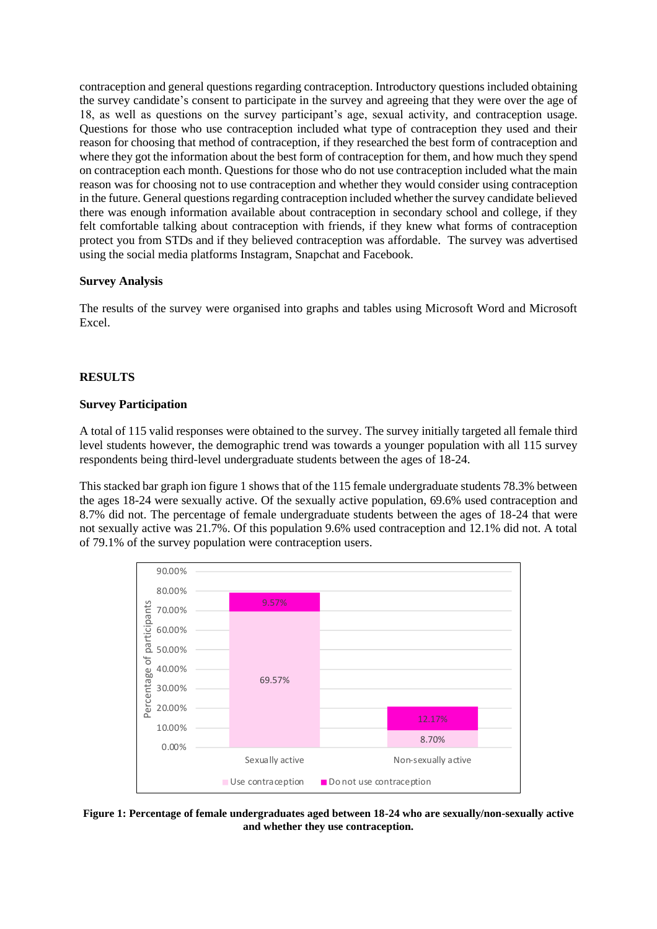contraception and general questions regarding contraception. Introductory questions included obtaining the survey candidate's consent to participate in the survey and agreeing that they were over the age of 18, as well as questions on the survey participant's age, sexual activity, and contraception usage. Questions for those who use contraception included what type of contraception they used and their reason for choosing that method of contraception, if they researched the best form of contraception and where they got the information about the best form of contraception for them, and how much they spend on contraception each month. Questions for those who do not use contraception included what the main reason was for choosing not to use contraception and whether they would consider using contraception in the future. General questions regarding contraception included whether the survey candidate believed there was enough information available about contraception in secondary school and college, if they felt comfortable talking about contraception with friends, if they knew what forms of contraception protect you from STDs and if they believed contraception was affordable. The survey was advertised using the social media platforms Instagram, Snapchat and Facebook.

## **Survey Analysis**

The results of the survey were organised into graphs and tables using Microsoft Word and Microsoft Excel.

## **RESULTS**

### **Survey Participation**

A total of 115 valid responses were obtained to the survey. The survey initially targeted all female third level students however, the demographic trend was towards a younger population with all 115 survey respondents being third-level undergraduate students between the ages of 18-24.

This stacked bar graph ion figure 1 shows that of the 115 female undergraduate students 78.3% between the ages 18-24 were sexually active. Of the sexually active population, 69.6% used contraception and 8.7% did not. The percentage of female undergraduate students between the ages of 18-24 that were not sexually active was 21.7%. Of this population 9.6% used contraception and 12.1% did not. A total of 79.1% of the survey population were contraception users.



**Figure 1: Percentage of female undergraduates aged between 18-24 who are sexually/non-sexually active and whether they use contraception.**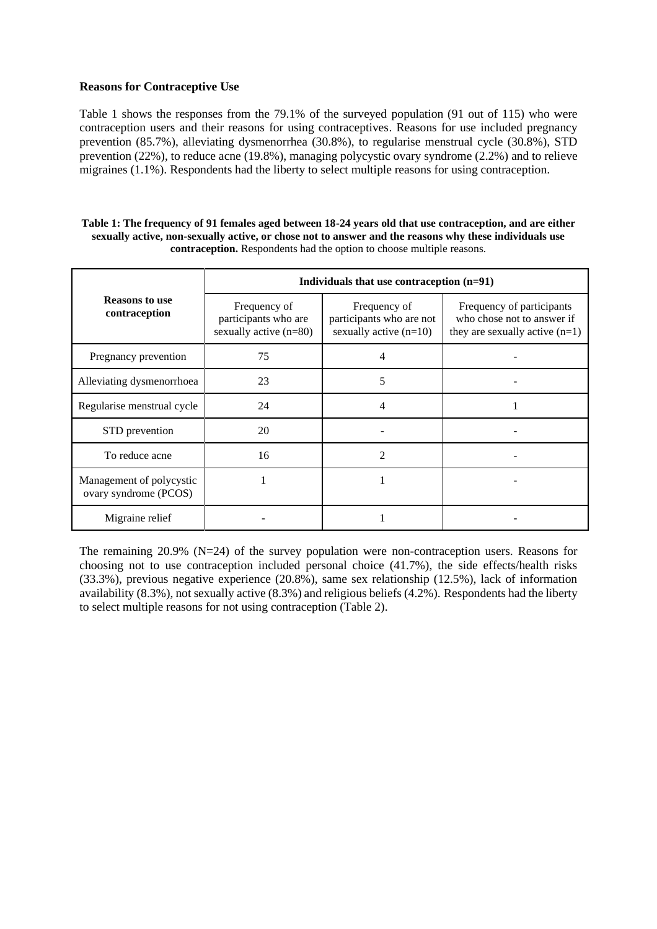#### **Reasons for Contraceptive Use**

Table 1 shows the responses from the 79.1% of the surveyed population (91 out of 115) who were contraception users and their reasons for using contraceptives. Reasons for use included pregnancy prevention (85.7%), alleviating dysmenorrhea (30.8%), to regularise menstrual cycle (30.8%), STD prevention (22%), to reduce acne (19.8%), managing polycystic ovary syndrome (2.2%) and to relieve migraines (1.1%). Respondents had the liberty to select multiple reasons for using contraception.

| Table 1: The frequency of 91 females aged between 18-24 years old that use contraception, and are either |
|----------------------------------------------------------------------------------------------------------|
| sexually active, non-sexually active, or chose not to answer and the reasons why these individuals use   |
| <b>contraception.</b> Respondents had the option to choose multiple reasons.                             |

|                                                   | Individuals that use contraception $(n=91)$                      |                                                                      |                                                                                             |  |
|---------------------------------------------------|------------------------------------------------------------------|----------------------------------------------------------------------|---------------------------------------------------------------------------------------------|--|
| <b>Reasons to use</b><br>contraception            | Frequency of<br>participants who are<br>sexually active $(n=80)$ | Frequency of<br>participants who are not<br>sexually active $(n=10)$ | Frequency of participants<br>who chose not to answer if<br>they are sexually active $(n=1)$ |  |
| Pregnancy prevention                              | 75                                                               |                                                                      |                                                                                             |  |
| Alleviating dysmenorrhoea                         | 23                                                               | 5                                                                    |                                                                                             |  |
| Regularise menstrual cycle                        | 24                                                               | 4                                                                    |                                                                                             |  |
| STD prevention                                    | 20                                                               |                                                                      |                                                                                             |  |
| To reduce acne                                    | 16                                                               | 2                                                                    |                                                                                             |  |
| Management of polycystic<br>ovary syndrome (PCOS) |                                                                  |                                                                      |                                                                                             |  |
| Migraine relief                                   |                                                                  |                                                                      |                                                                                             |  |

The remaining 20.9% (N=24) of the survey population were non-contraception users. Reasons for choosing not to use contraception included personal choice (41.7%), the side effects/health risks (33.3%), previous negative experience (20.8%), same sex relationship (12.5%), lack of information availability (8.3%), not sexually active (8.3%) and religious beliefs (4.2%). Respondents had the liberty to select multiple reasons for not using contraception (Table 2).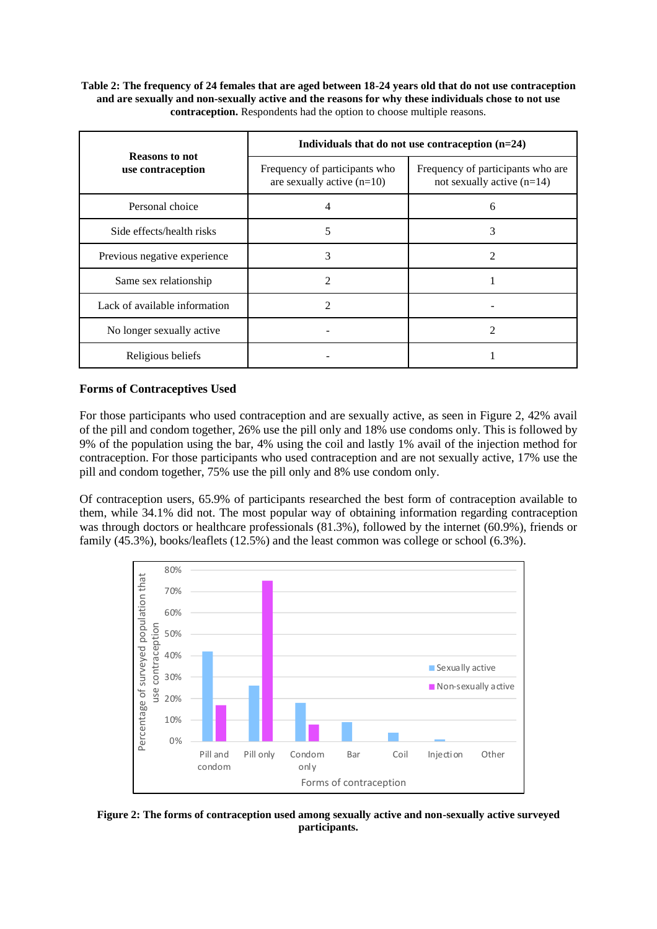**Table 2: The frequency of 24 females that are aged between 18-24 years old that do not use contraception and are sexually and non-sexually active and the reasons for why these individuals chose to not use contraception.** Respondents had the option to choose multiple reasons.

| <b>Reasons to not</b>         | Individuals that do not use contraception $(n=24)$            |                                                                   |  |
|-------------------------------|---------------------------------------------------------------|-------------------------------------------------------------------|--|
| use contraception             | Frequency of participants who<br>are sexually active $(n=10)$ | Frequency of participants who are<br>not sexually active $(n=14)$ |  |
| Personal choice               | 4                                                             | 6                                                                 |  |
| Side effects/health risks     | 5                                                             | 3                                                                 |  |
| Previous negative experience  | 3                                                             | 2                                                                 |  |
| Same sex relationship         | 2                                                             |                                                                   |  |
| Lack of available information | 2                                                             |                                                                   |  |
| No longer sexually active     |                                                               |                                                                   |  |
| Religious beliefs             |                                                               |                                                                   |  |

## **Forms of Contraceptives Used**

For those participants who used contraception and are sexually active, as seen in Figure 2, 42% avail of the pill and condom together, 26% use the pill only and 18% use condoms only. This is followed by 9% of the population using the bar, 4% using the coil and lastly 1% avail of the injection method for contraception. For those participants who used contraception and are not sexually active, 17% use the pill and condom together, 75% use the pill only and 8% use condom only.

Of contraception users, 65.9% of participants researched the best form of contraception available to them, while 34.1% did not. The most popular way of obtaining information regarding contraception was through doctors or healthcare professionals  $(81.3\%)$ , followed by the internet  $(60.9\%)$ , friends or family (45.3%), books/leaflets (12.5%) and the least common was college or school (6.3%).



**Figure 2: The forms of contraception used among sexually active and non-sexually active surveyed participants.**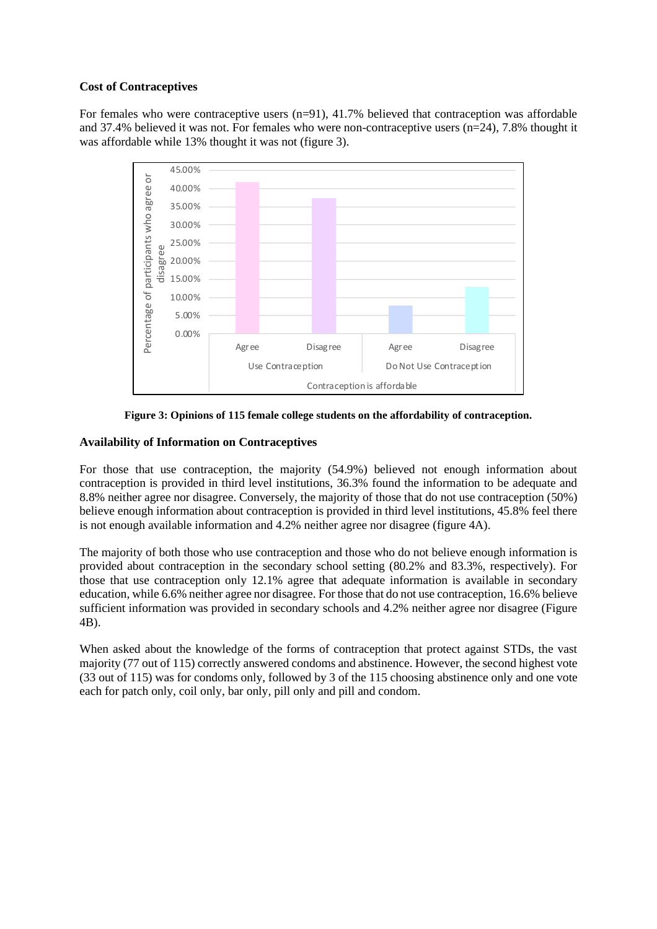### **Cost of Contraceptives**

For females who were contraceptive users  $(n=91)$ , 41.7% believed that contraception was affordable and 37.4% believed it was not. For females who were non-contraceptive users (n=24), 7.8% thought it was affordable while 13% thought it was not (figure 3).



**Figure 3: Opinions of 115 female college students on the affordability of contraception.**

# **Availability of Information on Contraceptives**

For those that use contraception, the majority (54.9%) believed not enough information about contraception is provided in third level institutions, 36.3% found the information to be adequate and 8.8% neither agree nor disagree. Conversely, the majority of those that do not use contraception (50%) believe enough information about contraception is provided in third level institutions, 45.8% feel there is not enough available information and 4.2% neither agree nor disagree (figure 4A).

The majority of both those who use contraception and those who do not believe enough information is provided about contraception in the secondary school setting (80.2% and 83.3%, respectively). For those that use contraception only 12.1% agree that adequate information is available in secondary education, while 6.6% neither agree nor disagree. For those that do not use contraception, 16.6% believe sufficient information was provided in secondary schools and 4.2% neither agree nor disagree (Figure 4B).

When asked about the knowledge of the forms of contraception that protect against STDs, the vast majority (77 out of 115) correctly answered condoms and abstinence. However, the second highest vote (33 out of 115) was for condoms only, followed by 3 of the 115 choosing abstinence only and one vote each for patch only, coil only, bar only, pill only and pill and condom.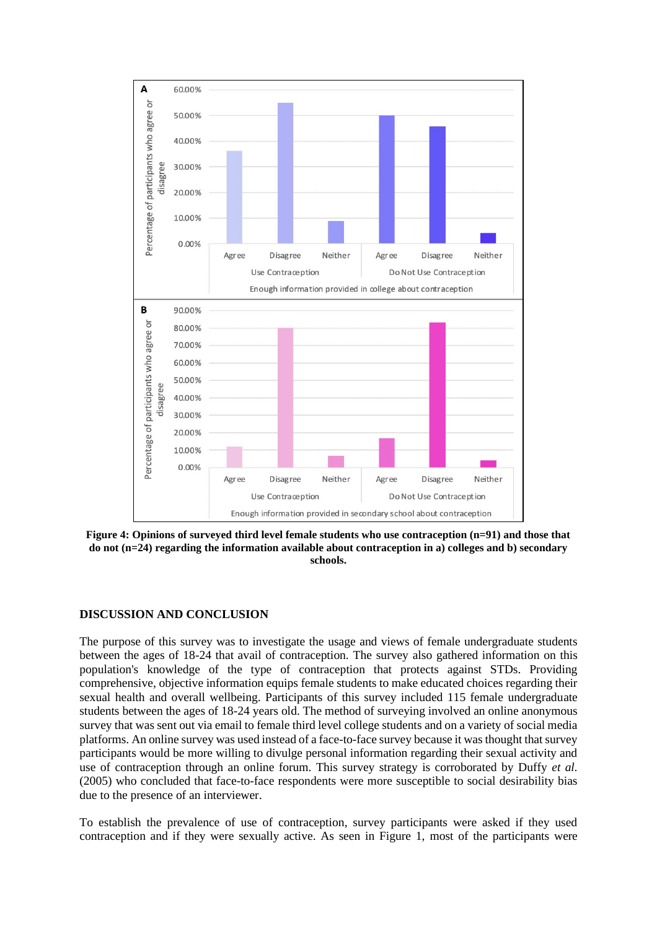

**Figure 4: Opinions of surveyed third level female students who use contraception (n=91) and those that do not (n=24) regarding the information available about contraception in a) colleges and b) secondary schools.**

### **DISCUSSION AND CONCLUSION**

The purpose of this survey was to investigate the usage and views of female undergraduate students between the ages of 18-24 that avail of contraception. The survey also gathered information on this population's knowledge of the type of contraception that protects against STDs. Providing comprehensive, objective information equips female students to make educated choices regarding their sexual health and overall wellbeing. Participants of this survey included 115 female undergraduate students between the ages of 18-24 years old. The method of surveying involved an online anonymous survey that was sent out via email to female third level college students and on a variety of social media platforms. An online survey was used instead of a face-to-face survey because it was thought that survey participants would be more willing to divulge personal information regarding their sexual activity and use of contraception through an online forum. This survey strategy is corroborated by Duffy *et al.* (2005) who concluded that face-to-face respondents were more susceptible to social desirability bias due to the presence of an interviewer.

To establish the prevalence of use of contraception, survey participants were asked if they used contraception and if they were sexually active. As seen in Figure 1, most of the participants were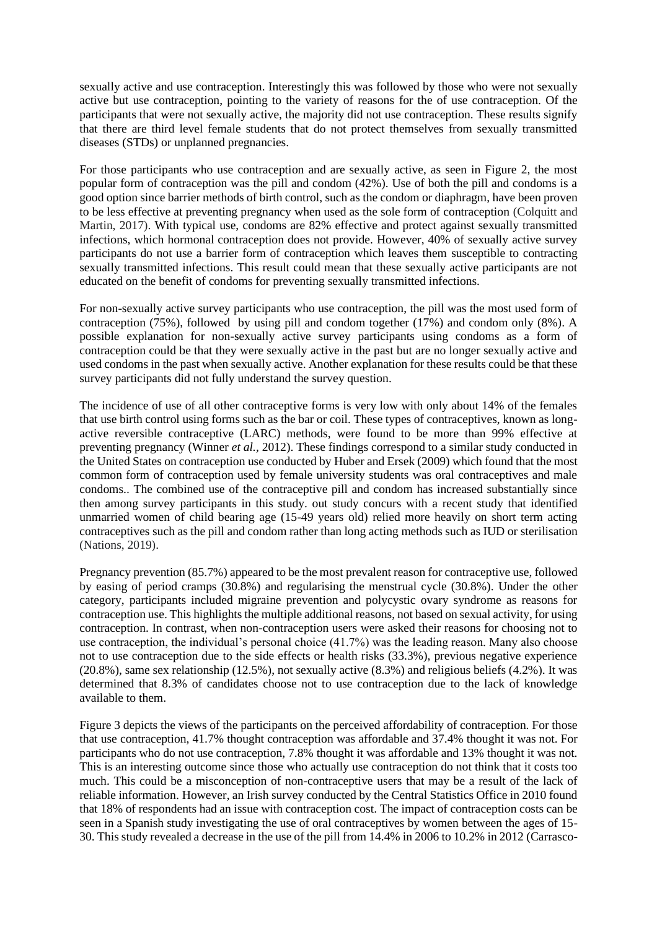sexually active and use contraception. Interestingly this was followed by those who were not sexually active but use contraception, pointing to the variety of reasons for the of use contraception. Of the participants that were not sexually active, the majority did not use contraception. These results signify that there are third level female students that do not protect themselves from sexually transmitted diseases (STDs) or unplanned pregnancies.

For those participants who use contraception and are sexually active, as seen in Figure 2, the most popular form of contraception was the pill and condom (42%). Use of both the pill and condoms is a good option since barrier methods of birth control, such as the condom or diaphragm, have been proven to be less effective at preventing pregnancy when used as the sole form of contraception (Colquitt and Martin, 2017). With typical use, condoms are 82% effective and protect against sexually transmitted infections, which hormonal contraception does not provide. However, 40% of sexually active survey participants do not use a barrier form of contraception which leaves them susceptible to contracting sexually transmitted infections. This result could mean that these sexually active participants are not educated on the benefit of condoms for preventing sexually transmitted infections.

For non-sexually active survey participants who use contraception, the pill was the most used form of contraception (75%), followed by using pill and condom together (17%) and condom only (8%). A possible explanation for non-sexually active survey participants using condoms as a form of contraception could be that they were sexually active in the past but are no longer sexually active and used condoms in the past when sexually active. Another explanation for these results could be that these survey participants did not fully understand the survey question.

The incidence of use of all other contraceptive forms is very low with only about 14% of the females that use birth control using forms such as the bar or coil. These types of contraceptives, known as longactive reversible contraceptive (LARC) methods, were found to be more than 99% effective at preventing pregnancy (Winner *et al.,* 2012). These findings correspond to a similar study conducted in the United States on contraception use conducted by Huber and Ersek (2009) which found that the most common form of contraception used by female university students was oral contraceptives and male condoms.. The combined use of the contraceptive pill and condom has increased substantially since then among survey participants in this study. out study concurs with a recent study that identified unmarried women of child bearing age (15-49 years old) relied more heavily on short term acting contraceptives such as the pill and condom rather than long acting methods such as IUD or sterilisation (Nations, 2019).

Pregnancy prevention (85.7%) appeared to be the most prevalent reason for contraceptive use, followed by easing of period cramps (30.8%) and regularising the menstrual cycle (30.8%). Under the other category, participants included migraine prevention and polycystic ovary syndrome as reasons for contraception use. This highlights the multiple additional reasons, not based on sexual activity, for using contraception. In contrast, when non-contraception users were asked their reasons for choosing not to use contraception, the individual's personal choice (41.7%) was the leading reason. Many also choose not to use contraception due to the side effects or health risks (33.3%), previous negative experience (20.8%), same sex relationship (12.5%), not sexually active (8.3%) and religious beliefs (4.2%). It was determined that 8.3% of candidates choose not to use contraception due to the lack of knowledge available to them.

Figure 3 depicts the views of the participants on the perceived affordability of contraception. For those that use contraception, 41.7% thought contraception was affordable and 37.4% thought it was not. For participants who do not use contraception, 7.8% thought it was affordable and 13% thought it was not. This is an interesting outcome since those who actually use contraception do not think that it costs too much. This could be a misconception of non-contraceptive users that may be a result of the lack of reliable information. However, an Irish survey conducted by the Central Statistics Office in 2010 found that 18% of respondents had an issue with contraception cost. The impact of contraception costs can be seen in a Spanish study investigating the use of oral contraceptives by women between the ages of 15- 30. This study revealed a decrease in the use of the pill from 14.4% in 2006 to 10.2% in 2012 (Carrasco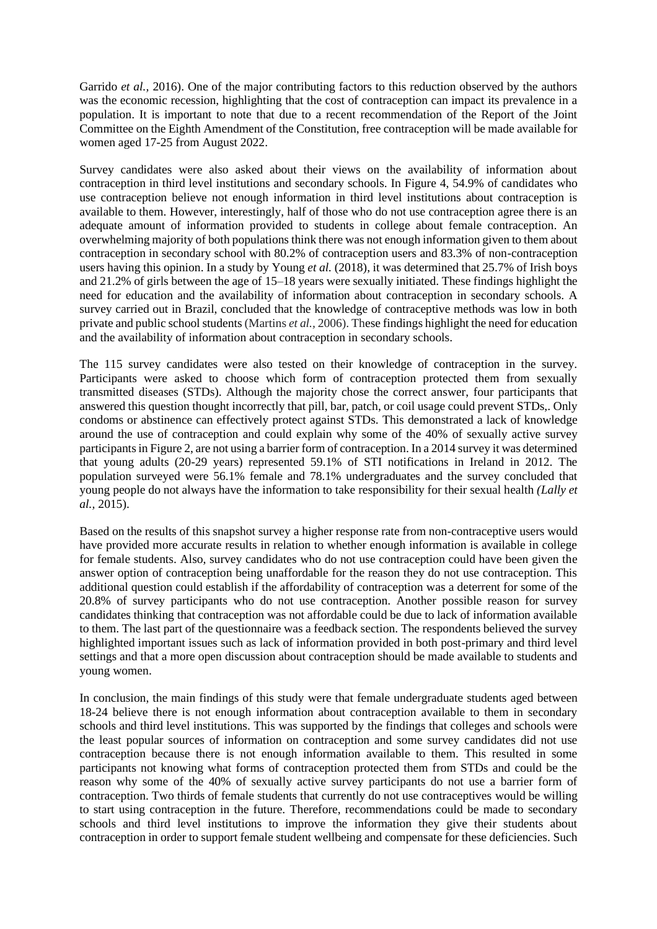Garrido *et al.,* 2016). One of the major contributing factors to this reduction observed by the authors was the economic recession, highlighting that the cost of contraception can impact its prevalence in a population. It is important to note that due to a recent recommendation of the Report of the Joint Committee on the Eighth Amendment of the Constitution, free contraception will be made available for women aged 17-25 from August 2022.

Survey candidates were also asked about their views on the availability of information about contraception in third level institutions and secondary schools. In Figure 4, 54.9% of candidates who use contraception believe not enough information in third level institutions about contraception is available to them. However, interestingly, half of those who do not use contraception agree there is an adequate amount of information provided to students in college about female contraception. An overwhelming majority of both populations think there was not enough information given to them about contraception in secondary school with 80.2% of contraception users and 83.3% of non-contraception users having this opinion. In a study by Young *et al.* (2018), it was determined that 25.7% of Irish boys and 21.2% of girls between the age of 15–18 years were sexually initiated. These findings highlight the need for education and the availability of information about contraception in secondary schools. A survey carried out in Brazil, concluded that the knowledge of contraceptive methods was low in both private and public school students (Martins *et al.,* 2006). These findings highlight the need for education and the availability of information about contraception in secondary schools.

The 115 survey candidates were also tested on their knowledge of contraception in the survey. Participants were asked to choose which form of contraception protected them from sexually transmitted diseases (STDs). Although the majority chose the correct answer, four participants that answered this question thought incorrectly that pill, bar, patch, or coil usage could prevent STDs,. Only condoms or abstinence can effectively protect against STDs. This demonstrated a lack of knowledge around the use of contraception and could explain why some of the 40% of sexually active survey participants in Figure 2, are not using a barrier form of contraception. In a 2014 survey it was determined that young adults (20-29 years) represented 59.1% of STI notifications in Ireland in 2012. The population surveyed were 56.1% female and 78.1% undergraduates and the survey concluded that young people do not always have the information to take responsibility for their sexual health *(Lally et al.,* 2015).

Based on the results of this snapshot survey a higher response rate from non-contraceptive users would have provided more accurate results in relation to whether enough information is available in college for female students. Also, survey candidates who do not use contraception could have been given the answer option of contraception being unaffordable for the reason they do not use contraception. This additional question could establish if the affordability of contraception was a deterrent for some of the 20.8% of survey participants who do not use contraception. Another possible reason for survey candidates thinking that contraception was not affordable could be due to lack of information available to them. The last part of the questionnaire was a feedback section. The respondents believed the survey highlighted important issues such as lack of information provided in both post-primary and third level settings and that a more open discussion about contraception should be made available to students and young women.

In conclusion, the main findings of this study were that female undergraduate students aged between 18-24 believe there is not enough information about contraception available to them in secondary schools and third level institutions. This was supported by the findings that colleges and schools were the least popular sources of information on contraception and some survey candidates did not use contraception because there is not enough information available to them. This resulted in some participants not knowing what forms of contraception protected them from STDs and could be the reason why some of the 40% of sexually active survey participants do not use a barrier form of contraception. Two thirds of female students that currently do not use contraceptives would be willing to start using contraception in the future. Therefore, recommendations could be made to secondary schools and third level institutions to improve the information they give their students about contraception in order to support female student wellbeing and compensate for these deficiencies. Such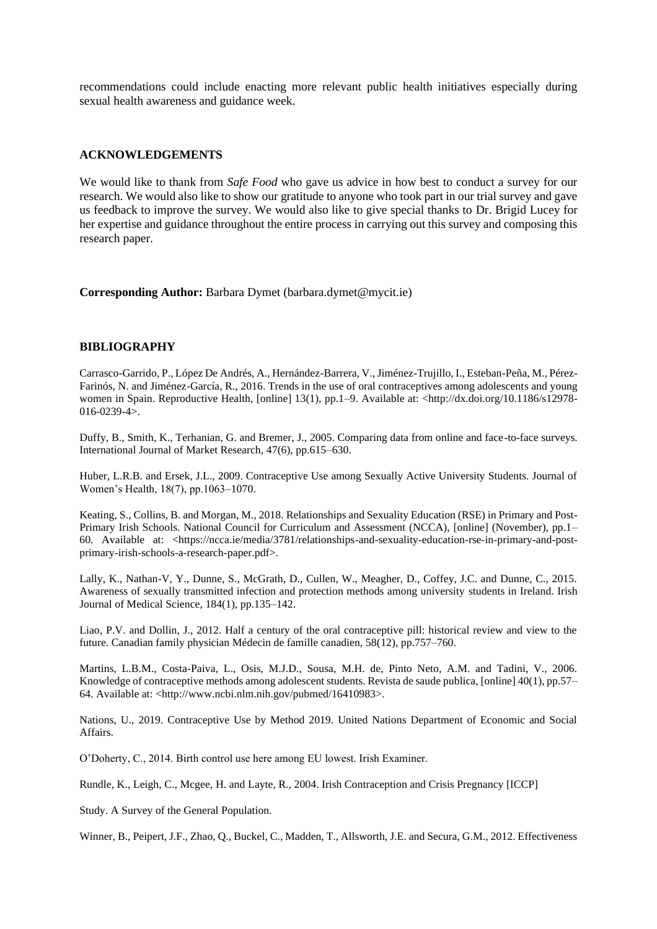recommendations could include enacting more relevant public health initiatives especially during sexual health awareness and guidance week.

#### **ACKNOWLEDGEMENTS**

We would like to thank from *Safe Food* who gave us advice in how best to conduct a survey for our research. We would also like to show our gratitude to anyone who took part in our trial survey and gave us feedback to improve the survey. We would also like to give special thanks to Dr. Brigid Lucey for her expertise and guidance throughout the entire process in carrying out this survey and composing this research paper.

**Corresponding Author:** Barbara Dymet (barbara.dymet@mycit.ie)

#### **BIBLIOGRAPHY**

Carrasco-Garrido, P., López De Andrés, A., Hernández-Barrera, V., Jiménez-Trujillo, I., Esteban-Peña, M., Pérez-Farinós, N. and Jiménez-García, R., 2016. Trends in the use of oral contraceptives among adolescents and young women in Spain. Reproductive Health, [online] 13(1), pp.1–9. Available at: <http://dx.doi.org/10.1186/s12978-016-0239-4>.

Duffy, B., Smith, K., Terhanian, G. and Bremer, J., 2005. Comparing data from online and face-to-face surveys. International Journal of Market Research, 47(6), pp.615–630.

Huber, L.R.B. and Ersek, J.L., 2009. Contraceptive Use among Sexually Active University Students. Journal of Women's Health, 18(7), pp.1063–1070.

Keating, S., Collins, B. and Morgan, M., 2018. Relationships and Sexuality Education (RSE) in Primary and Post-Primary Irish Schools. National Council for Curriculum and Assessment (NCCA), [online] (November), pp.1– 60. Available at: <https://ncca.ie/media/3781/relationships-and-sexuality-education-rse-in-primary-and-postprimary-irish-schools-a-research-paper.pdf>.

Lally, K., Nathan-V, Y., Dunne, S., McGrath, D., Cullen, W., Meagher, D., Coffey, J.C. and Dunne, C., 2015. Awareness of sexually transmitted infection and protection methods among university students in Ireland. Irish Journal of Medical Science, 184(1), pp.135–142.

Liao, P.V. and Dollin, J., 2012. Half a century of the oral contraceptive pill: historical review and view to the future. Canadian family physician Médecin de famille canadien, 58(12), pp.757–760.

Martins, L.B.M., Costa-Paiva, L., Osis, M.J.D., Sousa, M.H. de, Pinto Neto, A.M. and Tadini, V., 2006. Knowledge of contraceptive methods among adolescent students. Revista de saude publica, [online] 40(1), pp.57– 64. Available at: <http://www.ncbi.nlm.nih.gov/pubmed/16410983>.

Nations, U., 2019. Contraceptive Use by Method 2019. United Nations Department of Economic and Social Affairs.

O'Doherty, C., 2014. Birth control use here among EU lowest. Irish Examiner.

Rundle, K., Leigh, C., Mcgee, H. and Layte, R., 2004. Irish Contraception and Crisis Pregnancy [ICCP]

Study. A Survey of the General Population.

Winner, B., Peipert, J.F., Zhao, Q., Buckel, C., Madden, T., Allsworth, J.E. and Secura, G.M., 2012. Effectiveness